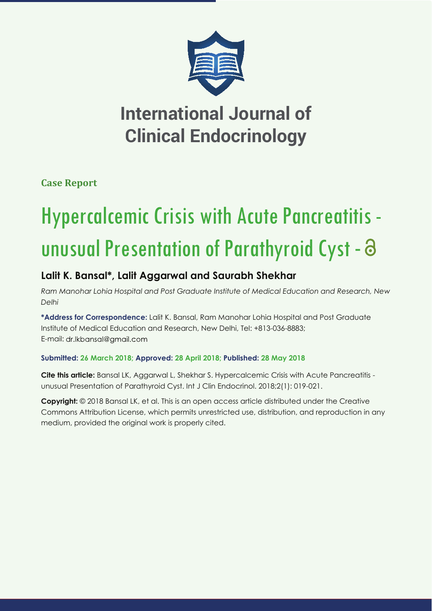

## **International Journal of Clinical Endocrinology**

**Case Report**

# Hypercalcemic Crisis with Acute Pancreatitis unusual Presentation of Parathyroid Cyst -

### **Lalit K. Bansal\*, Lalit Aggarwal and Saurabh Shekhar**

*Ram Manohar Lohia Hospital and Post Graduate Institute of Medical Education and Research, New Delhi*

**\*Address for Correspondence:** Lalit K. Bansal, Ram Manohar Lohia Hospital and Post Graduate Institute of Medical Education and Research, New Delhi, Tel: +813-036-8883; E-mail: dr.lkbansal@amail.com

#### **Submitted: 26 March 2018; Approved: 28 April 2018; Published: 28 May 2018**

**Cite this article:** Bansal LK, Aggarwal L, Shekhar S. Hypercalcemic Crisis with Acute Pancreatitis unusual Presentation of Parathyroid Cyst. Int J Clin Endocrinol. 2018;2(1): 019-021.

**Copyright:** © 2018 Bansal LK, et al. This is an open access article distributed under the Creative Commons Attribution License, which permits unrestricted use, distribution, and reproduction in any medium, provided the original work is properly cited.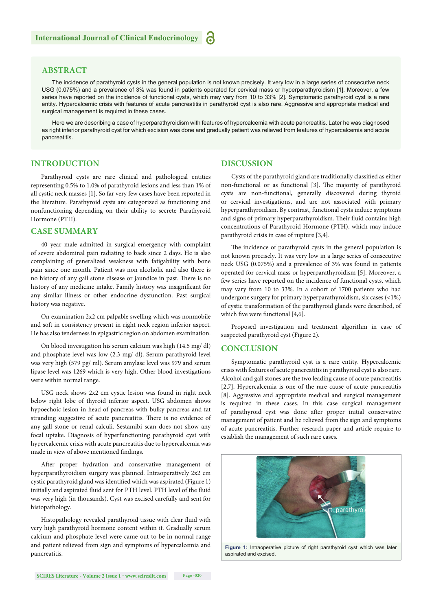#### **ABSTRACT**

The incidence of parathyroid cysts in the general population is not known precisely. It very low in a large series of consecutive neck USG (0.075%) and a prevalence of 3% was found in patients operated for cervical mass or hyperparathyroidism [1]. Moreover, a few series have reported on the incidence of functional cysts, which may vary from 10 to 33% [2]. Symptomatic parathyroid cyst is a rare entity. Hypercalcemic crisis with features of acute pancreatitis in parathyroid cyst is also rare. Aggressive and appropriate medical and surgical management is required in these cases.

Here we are describing a case of hyperparathyroidism with features of hypercalcemia with acute pancreatitis. Later he was diagnosed as right inferior parathyroid cyst for which excision was done and gradually patient was relieved from features of hypercalcemia and acute pancreatitis.

#### **INTRODUCTION**

Parathyroid cysts are rare clinical and pathological entities representing 0.5% to 1.0% of parathyroid lesions and less than 1% of all cystic neck masses [1]. So far very few cases have been reported in the literature. Parathyroid cysts are categorized as functioning and nonfunctioning depending on their ability to secrete Parathyroid Hormone (PTH).

#### **CASE SUMMARY**

40 year male admitted in surgical emergency with complaint of severe abdominal pain radiating to back since 2 days. He is also complaining of generalized weakness with fatigability with bone pain since one month. Patient was non alcoholic and also there is no history of any gall stone disease or jaundice in past. There is no history of any medicine intake. Family history was insignificant for any similar illness or other endocrine dysfunction. Past surgical history was negative.

On examination 2x2 cm palpable swelling which was nonmobile and soft in consistency present in right neck region inferior aspect. He has also tenderness in epigastric region on abdomen examination.

On blood investigation his serum calcium was high (14.5 mg/ dl) and phosphate level was low (2.3 mg/ dl). Serum parathyroid level was very high (579 pg/ ml). Serum amylase level was 979 and serum lipase level was 1269 which is very high. Other blood investigations were within normal range.

USG neck shows 2x2 cm cystic lesion was found in right neck below right lobe of thyroid inferior aspect. USG abdomen shows hypoechoic lesion in head of pancreas with bulky pancreas and fat stranding suggestive of acute pancreatitis. There is no evidence of any gall stone or renal calculi. Sestamibi scan does not show any focal uptake. Diagnosis of hyperfunctioning parathyroid cyst with hypercalcemic crisis with acute pancreatitis due to hypercalcemia was made in view of above mentioned findings.

After proper hydration and conservative management of hyperparathyroidism surgery was planned. Intraoperatively 2x2 cm cystic parathyroid gland was identified which was aspirated (Figure 1) initially and aspirated fluid sent for PTH level. PTH level of the fluid was very high (in thousands). Cyst was excised carefully and sent for histopathology.

Histopathology revealed parathyroid tissue with clear fluid with very high parathyroid hormone content within it. Gradually serum calcium and phosphate level were came out to be in normal range and patient relieved from sign and symptoms of hypercalcemia and pancreatitis.

#### **DISCUSSION**

Cysts of the parathyroid gland are traditionally classified as either non-functional or as functional [3]. The majority of parathyroid cysts are non-functional, generally discovered during thyroid or cervical investigations, and are not associated with primary hyperparathyroidism. By contrast, functional cysts induce symptoms and signs of primary hyperparathyroidism. Their fluid contains high concentrations of Parathyroid Hormone (PTH), which may induce parathyroid crisis in case of rupture [3,4].

The incidence of parathyroid cysts in the general population is not known precisely. It was very low in a large series of consecutive neck USG (0.075%) and a prevalence of 3% was found in patients operated for cervical mass or hyperparathyroidism [5]. Moreover, a few series have reported on the incidence of functional cysts, which may vary from 10 to 33%. In a cohort of 1700 patients who had undergone surgery for primary hyperparathyroidism, six cases (<1%) of cystic transformation of the parathyroid glands were described, of which five were functional  $[4,6]$ .

Proposed investigation and treatment algorithm in case of suspected parathyroid cyst (Figure 2).

#### **CONCLUSION**

Symptomatic parathyroid cyst is a rare entity. Hypercalcemic crisis with features of acute pancreatitis in parathyroid cyst is also rare. Alcohol and gall stones are the two leading cause of acute pancreatitis [2,7]. Hypercalcemia is one of the rare cause of acute pancreatitis [8]. Aggressive and appropriate medical and surgical management is required in these cases. In this case surgical management of parathyroid cyst was done after proper initial conservative management of patient and he relieved from the sign and symptoms of acute pancreatitis. Further research paper and article require to establish the management of such rare cases.